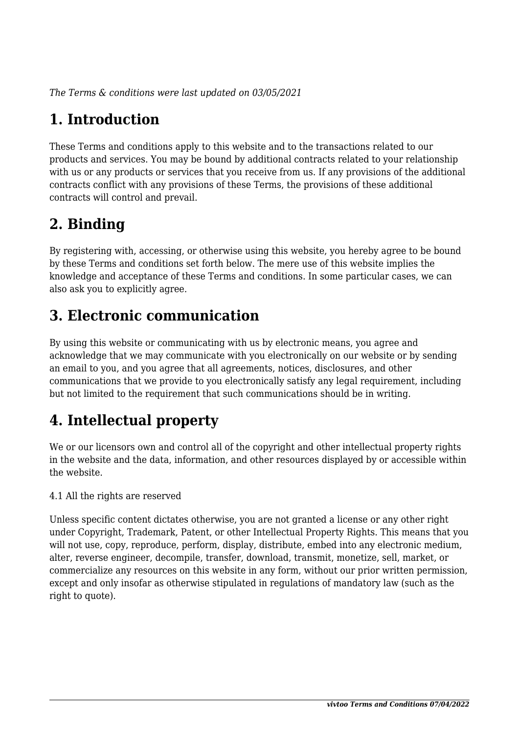*The Terms & conditions were last updated on 03/05/2021*

# **1. Introduction**

These Terms and conditions apply to this website and to the transactions related to our products and services. You may be bound by additional contracts related to your relationship with us or any products or services that you receive from us. If any provisions of the additional contracts conflict with any provisions of these Terms, the provisions of these additional contracts will control and prevail.

# **2. Binding**

By registering with, accessing, or otherwise using this website, you hereby agree to be bound by these Terms and conditions set forth below. The mere use of this website implies the knowledge and acceptance of these Terms and conditions. In some particular cases, we can also ask you to explicitly agree.

# **3. Electronic communication**

By using this website or communicating with us by electronic means, you agree and acknowledge that we may communicate with you electronically on our website or by sending an email to you, and you agree that all agreements, notices, disclosures, and other communications that we provide to you electronically satisfy any legal requirement, including but not limited to the requirement that such communications should be in writing.

# **4. Intellectual property**

We or our licensors own and control all of the copyright and other intellectual property rights in the website and the data, information, and other resources displayed by or accessible within the website.

4.1 All the rights are reserved

Unless specific content dictates otherwise, you are not granted a license or any other right under Copyright, Trademark, Patent, or other Intellectual Property Rights. This means that you will not use, copy, reproduce, perform, display, distribute, embed into any electronic medium, alter, reverse engineer, decompile, transfer, download, transmit, monetize, sell, market, or commercialize any resources on this website in any form, without our prior written permission, except and only insofar as otherwise stipulated in regulations of mandatory law (such as the right to quote).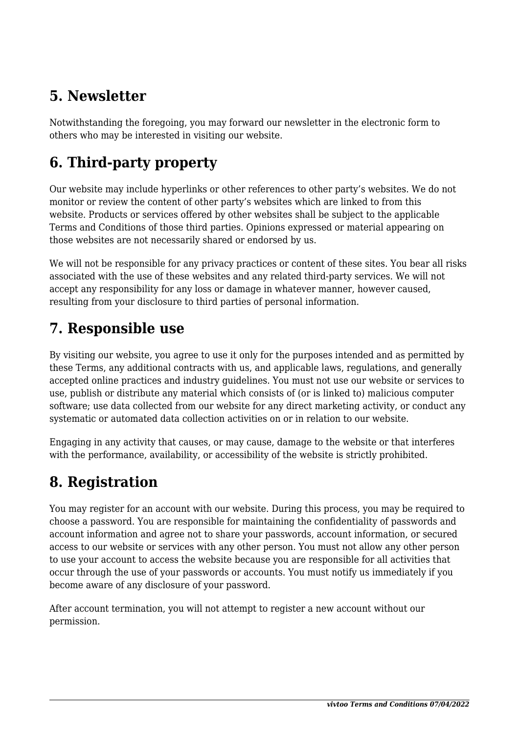# **5. Newsletter**

Notwithstanding the foregoing, you may forward our newsletter in the electronic form to others who may be interested in visiting our website.

# **6. Third-party property**

Our website may include hyperlinks or other references to other party's websites. We do not monitor or review the content of other party's websites which are linked to from this website. Products or services offered by other websites shall be subject to the applicable Terms and Conditions of those third parties. Opinions expressed or material appearing on those websites are not necessarily shared or endorsed by us.

We will not be responsible for any privacy practices or content of these sites. You bear all risks associated with the use of these websites and any related third-party services. We will not accept any responsibility for any loss or damage in whatever manner, however caused, resulting from your disclosure to third parties of personal information.

## **7. Responsible use**

By visiting our website, you agree to use it only for the purposes intended and as permitted by these Terms, any additional contracts with us, and applicable laws, regulations, and generally accepted online practices and industry guidelines. You must not use our website or services to use, publish or distribute any material which consists of (or is linked to) malicious computer software; use data collected from our website for any direct marketing activity, or conduct any systematic or automated data collection activities on or in relation to our website.

Engaging in any activity that causes, or may cause, damage to the website or that interferes with the performance, availability, or accessibility of the website is strictly prohibited.

## **8. Registration**

You may register for an account with our website. During this process, you may be required to choose a password. You are responsible for maintaining the confidentiality of passwords and account information and agree not to share your passwords, account information, or secured access to our website or services with any other person. You must not allow any other person to use your account to access the website because you are responsible for all activities that occur through the use of your passwords or accounts. You must notify us immediately if you become aware of any disclosure of your password.

After account termination, you will not attempt to register a new account without our permission.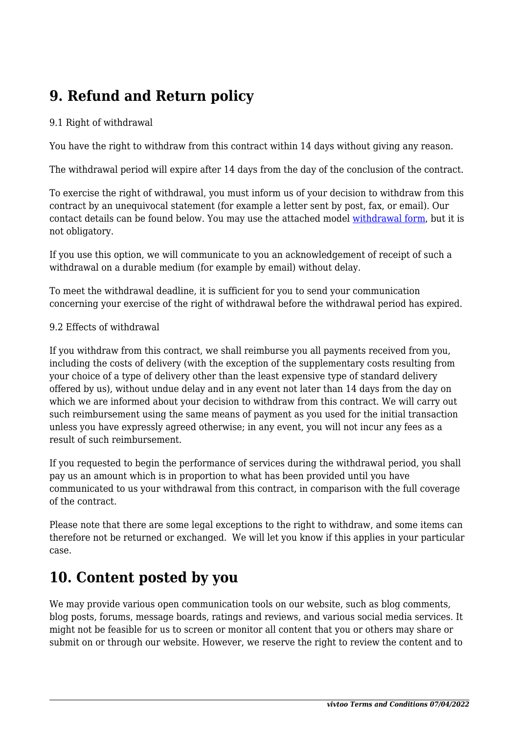# **9. Refund and Return policy**

#### 9.1 Right of withdrawal

You have the right to withdraw from this contract within 14 days without giving any reason.

The withdrawal period will expire after 14 days from the day of the conclusion of the contract.

To exercise the right of withdrawal, you must inform us of your decision to withdraw from this contract by an unequivocal statement (for example a letter sent by post, fax, or email). Our contact details can be found below. You may use the attached model [withdrawal form](https://vivtoo.com/wp-content/uploads/complianz/withdrawal-forms/withdrawal-form-en.pdf), but it is not obligatory.

If you use this option, we will communicate to you an acknowledgement of receipt of such a withdrawal on a durable medium (for example by email) without delay.

To meet the withdrawal deadline, it is sufficient for you to send your communication concerning your exercise of the right of withdrawal before the withdrawal period has expired.

#### 9.2 Effects of withdrawal

If you withdraw from this contract, we shall reimburse you all payments received from you, including the costs of delivery (with the exception of the supplementary costs resulting from your choice of a type of delivery other than the least expensive type of standard delivery offered by us), without undue delay and in any event not later than 14 days from the day on which we are informed about your decision to withdraw from this contract. We will carry out such reimbursement using the same means of payment as you used for the initial transaction unless you have expressly agreed otherwise; in any event, you will not incur any fees as a result of such reimbursement.

If you requested to begin the performance of services during the withdrawal period, you shall pay us an amount which is in proportion to what has been provided until you have communicated to us your withdrawal from this contract, in comparison with the full coverage of the contract.

Please note that there are some legal exceptions to the right to withdraw, and some items can therefore not be returned or exchanged. We will let you know if this applies in your particular case.

#### **10. Content posted by you**

We may provide various open communication tools on our website, such as blog comments, blog posts, forums, message boards, ratings and reviews, and various social media services. It might not be feasible for us to screen or monitor all content that you or others may share or submit on or through our website. However, we reserve the right to review the content and to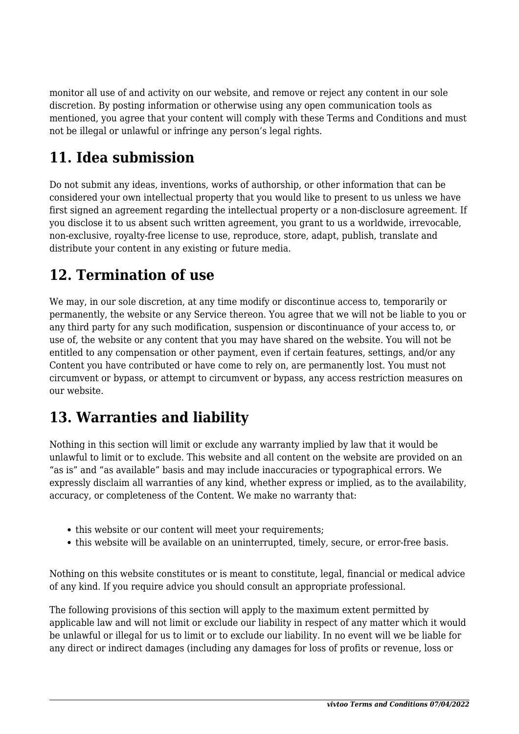monitor all use of and activity on our website, and remove or reject any content in our sole discretion. By posting information or otherwise using any open communication tools as mentioned, you agree that your content will comply with these Terms and Conditions and must not be illegal or unlawful or infringe any person's legal rights.

# **11. Idea submission**

Do not submit any ideas, inventions, works of authorship, or other information that can be considered your own intellectual property that you would like to present to us unless we have first signed an agreement regarding the intellectual property or a non-disclosure agreement. If you disclose it to us absent such written agreement, you grant to us a worldwide, irrevocable, non-exclusive, royalty-free license to use, reproduce, store, adapt, publish, translate and distribute your content in any existing or future media.

## **12. Termination of use**

We may, in our sole discretion, at any time modify or discontinue access to, temporarily or permanently, the website or any Service thereon. You agree that we will not be liable to you or any third party for any such modification, suspension or discontinuance of your access to, or use of, the website or any content that you may have shared on the website. You will not be entitled to any compensation or other payment, even if certain features, settings, and/or any Content you have contributed or have come to rely on, are permanently lost. You must not circumvent or bypass, or attempt to circumvent or bypass, any access restriction measures on our website.

## **13. Warranties and liability**

Nothing in this section will limit or exclude any warranty implied by law that it would be unlawful to limit or to exclude. This website and all content on the website are provided on an "as is" and "as available" basis and may include inaccuracies or typographical errors. We expressly disclaim all warranties of any kind, whether express or implied, as to the availability, accuracy, or completeness of the Content. We make no warranty that:

- this website or our content will meet your requirements:
- this website will be available on an uninterrupted, timely, secure, or error-free basis.

Nothing on this website constitutes or is meant to constitute, legal, financial or medical advice of any kind. If you require advice you should consult an appropriate professional.

The following provisions of this section will apply to the maximum extent permitted by applicable law and will not limit or exclude our liability in respect of any matter which it would be unlawful or illegal for us to limit or to exclude our liability. In no event will we be liable for any direct or indirect damages (including any damages for loss of profits or revenue, loss or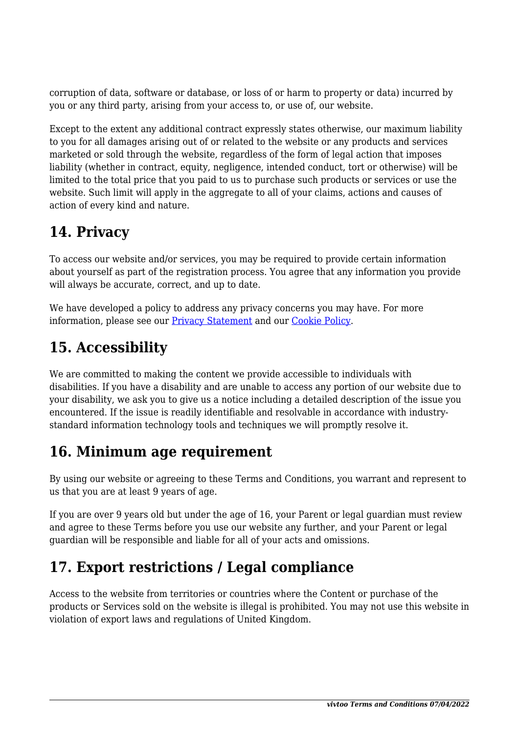corruption of data, software or database, or loss of or harm to property or data) incurred by you or any third party, arising from your access to, or use of, our website.

Except to the extent any additional contract expressly states otherwise, our maximum liability to you for all damages arising out of or related to the website or any products and services marketed or sold through the website, regardless of the form of legal action that imposes liability (whether in contract, equity, negligence, intended conduct, tort or otherwise) will be limited to the total price that you paid to us to purchase such products or services or use the website. Such limit will apply in the aggregate to all of your claims, actions and causes of action of every kind and nature.

# **14. Privacy**

To access our website and/or services, you may be required to provide certain information about yourself as part of the registration process. You agree that any information you provide will always be accurate, correct, and up to date.

We have developed a policy to address any privacy concerns you may have. For more information, please see our [Privacy Statement](https://vivtoo.com/en/privacy-policy/) and our [Cookie Policy](https://vivtoo.com/en/cookie-policy-uk/).

# **15. Accessibility**

We are committed to making the content we provide accessible to individuals with disabilities. If you have a disability and are unable to access any portion of our website due to your disability, we ask you to give us a notice including a detailed description of the issue you encountered. If the issue is readily identifiable and resolvable in accordance with industrystandard information technology tools and techniques we will promptly resolve it.

## **16. Minimum age requirement**

By using our website or agreeing to these Terms and Conditions, you warrant and represent to us that you are at least 9 years of age.

If you are over 9 years old but under the age of 16, your Parent or legal guardian must review and agree to these Terms before you use our website any further, and your Parent or legal guardian will be responsible and liable for all of your acts and omissions.

# **17. Export restrictions / Legal compliance**

Access to the website from territories or countries where the Content or purchase of the products or Services sold on the website is illegal is prohibited. You may not use this website in violation of export laws and regulations of United Kingdom.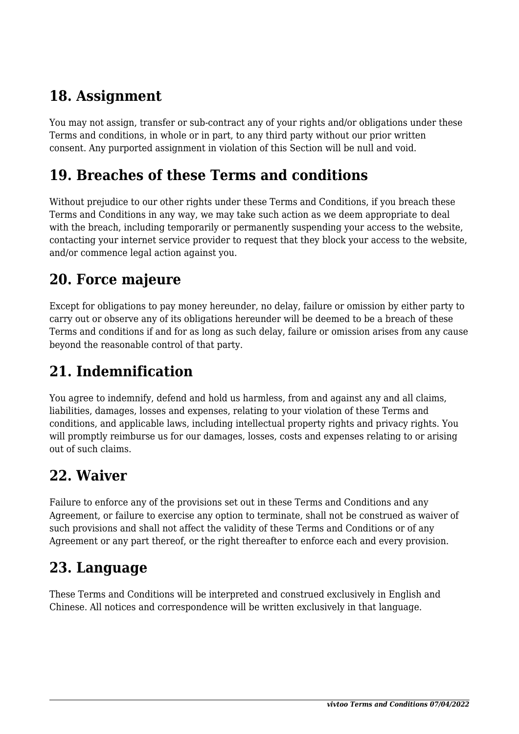# **18. Assignment**

You may not assign, transfer or sub-contract any of your rights and/or obligations under these Terms and conditions, in whole or in part, to any third party without our prior written consent. Any purported assignment in violation of this Section will be null and void.

#### **19. Breaches of these Terms and conditions**

Without prejudice to our other rights under these Terms and Conditions, if you breach these Terms and Conditions in any way, we may take such action as we deem appropriate to deal with the breach, including temporarily or permanently suspending your access to the website, contacting your internet service provider to request that they block your access to the website, and/or commence legal action against you.

#### **20. Force majeure**

Except for obligations to pay money hereunder, no delay, failure or omission by either party to carry out or observe any of its obligations hereunder will be deemed to be a breach of these Terms and conditions if and for as long as such delay, failure or omission arises from any cause beyond the reasonable control of that party.

# **21. Indemnification**

You agree to indemnify, defend and hold us harmless, from and against any and all claims, liabilities, damages, losses and expenses, relating to your violation of these Terms and conditions, and applicable laws, including intellectual property rights and privacy rights. You will promptly reimburse us for our damages, losses, costs and expenses relating to or arising out of such claims.

## **22. Waiver**

Failure to enforce any of the provisions set out in these Terms and Conditions and any Agreement, or failure to exercise any option to terminate, shall not be construed as waiver of such provisions and shall not affect the validity of these Terms and Conditions or of any Agreement or any part thereof, or the right thereafter to enforce each and every provision.

## **23. Language**

These Terms and Conditions will be interpreted and construed exclusively in English and Chinese. All notices and correspondence will be written exclusively in that language.